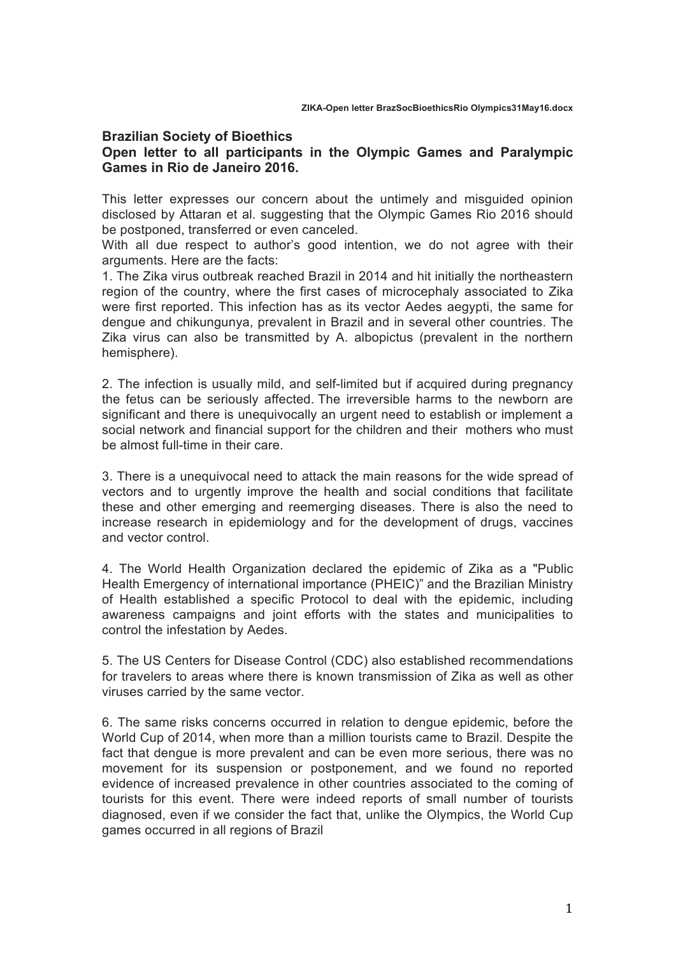## **Brazilian Society of Bioethics**

## **Open letter to all participants in the Olympic Games and Paralympic Games in Rio de Janeiro 2016.**

This letter expresses our concern about the untimely and misguided opinion disclosed by Attaran et al. suggesting that the Olympic Games Rio 2016 should be postponed, transferred or even canceled.

With all due respect to author's good intention, we do not agree with their arguments. Here are the facts:

1. The Zika virus outbreak reached Brazil in 2014 and hit initially the northeastern region of the country, where the first cases of microcephaly associated to Zika were first reported. This infection has as its vector Aedes aegypti, the same for dengue and chikungunya, prevalent in Brazil and in several other countries. The Zika virus can also be transmitted by A. albopictus (prevalent in the northern hemisphere).

2. The infection is usually mild, and self-limited but if acquired during pregnancy the fetus can be seriously affected. The irreversible harms to the newborn are significant and there is unequivocally an urgent need to establish or implement a social network and financial support for the children and their mothers who must be almost full-time in their care.

3. There is a unequivocal need to attack the main reasons for the wide spread of vectors and to urgently improve the health and social conditions that facilitate these and other emerging and reemerging diseases. There is also the need to increase research in epidemiology and for the development of drugs, vaccines and vector control.

4. The World Health Organization declared the epidemic of Zika as a "Public Health Emergency of international importance (PHEIC)" and the Brazilian Ministry of Health established a specific Protocol to deal with the epidemic, including awareness campaigns and joint efforts with the states and municipalities to control the infestation by Aedes.

5. The US Centers for Disease Control (CDC) also established recommendations for travelers to areas where there is known transmission of Zika as well as other viruses carried by the same vector.

6. The same risks concerns occurred in relation to dengue epidemic, before the World Cup of 2014, when more than a million tourists came to Brazil. Despite the fact that dengue is more prevalent and can be even more serious, there was no movement for its suspension or postponement, and we found no reported evidence of increased prevalence in other countries associated to the coming of tourists for this event. There were indeed reports of small number of tourists diagnosed, even if we consider the fact that, unlike the Olympics, the World Cup games occurred in all regions of Brazil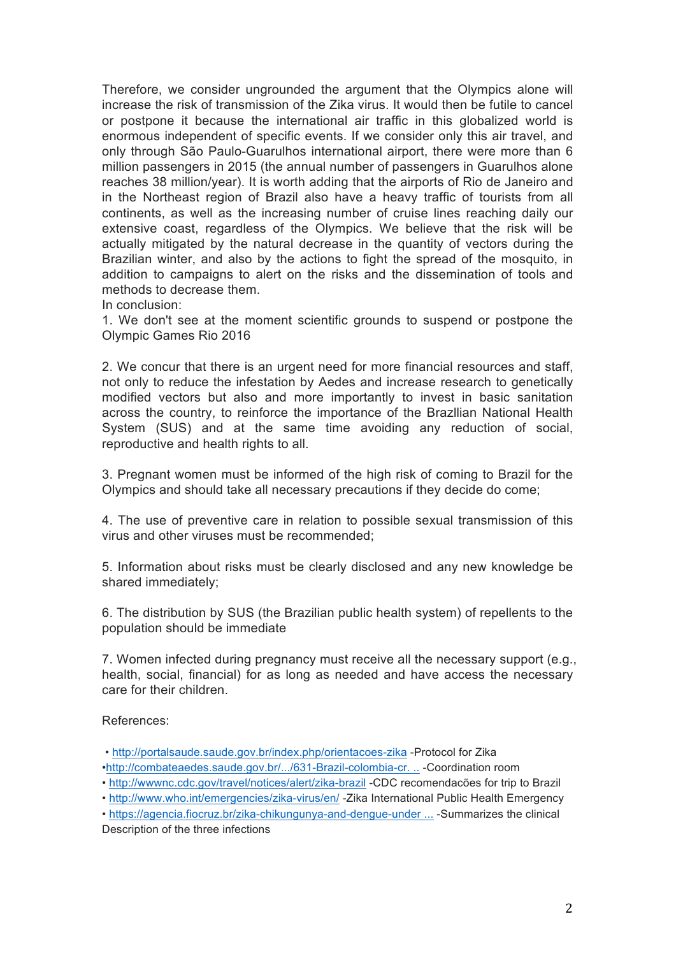Therefore, we consider ungrounded the argument that the Olympics alone will increase the risk of transmission of the Zika virus. It would then be futile to cancel or postpone it because the international air traffic in this globalized world is enormous independent of specific events. If we consider only this air travel, and only through São Paulo-Guarulhos international airport, there were more than 6 million passengers in 2015 (the annual number of passengers in Guarulhos alone reaches 38 million/year). It is worth adding that the airports of Rio de Janeiro and in the Northeast region of Brazil also have a heavy traffic of tourists from all continents, as well as the increasing number of cruise lines reaching daily our extensive coast, regardless of the Olympics. We believe that the risk will be actually mitigated by the natural decrease in the quantity of vectors during the Brazilian winter, and also by the actions to fight the spread of the mosquito, in addition to campaigns to alert on the risks and the dissemination of tools and methods to decrease them.

In conclusion:

1. We don't see at the moment scientific grounds to suspend or postpone the Olympic Games Rio 2016

2. We concur that there is an urgent need for more financial resources and staff, not only to reduce the infestation by Aedes and increase research to genetically modified vectors but also and more importantly to invest in basic sanitation across the country, to reinforce the importance of the Brazllian National Health System (SUS) and at the same time avoiding any reduction of social, reproductive and health rights to all.

3. Pregnant women must be informed of the high risk of coming to Brazil for the Olympics and should take all necessary precautions if they decide do come;

4. The use of preventive care in relation to possible sexual transmission of this virus and other viruses must be recommended;

5. Information about risks must be clearly disclosed and any new knowledge be shared immediately;

6. The distribution by SUS (the Brazilian public health system) of repellents to the population should be immediate

7. Women infected during pregnancy must receive all the necessary support (e.g., health, social, financial) for as long as needed and have access the necessary care for their children.

References:

• http://portalsaude.saude.gov.br/index.php/orientacoes-zika -Protocol for Zika

•http://combateaedes.saude.gov.br/.../631-Brazil-colombia-cr. .. -Coordination room

• http://wwwnc.cdc.gov/travel/notices/alert/zika-brazil -CDC recomendacões for trip to Brazil

- http://www.who.int/emergencies/zika-virus/en/ -Zika International Public Health Emergency
- https://agencia.fiocruz.br/zika-chikungunya-and-dengue-under ... -Summarizes the clinical Description of the three infections